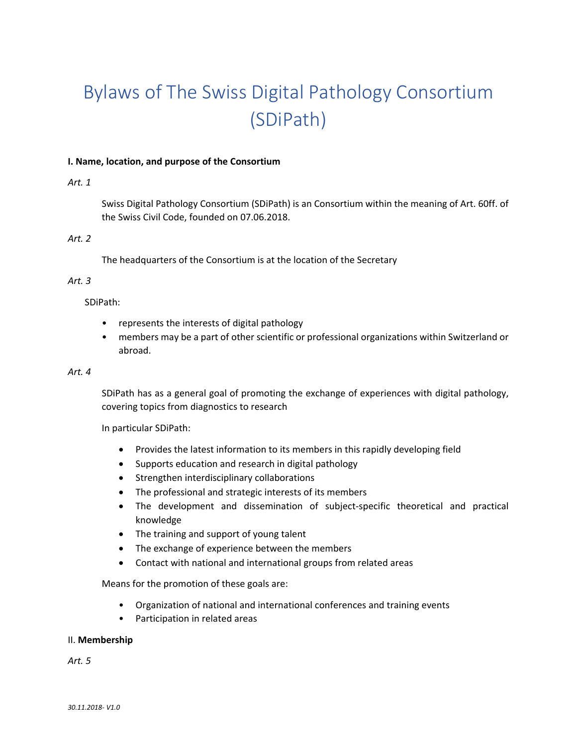# Bylaws of The Swiss Digital Pathology Consortium (SDiPath)

## **I. Name, location, and purpose of the Consortium**

## *Art. 1*

Swiss Digital Pathology Consortium (SDiPath) is an Consortium within the meaning of Art. 60ff. of the Swiss Civil Code, founded on 07.06.2018.

# *Art. 2*

The headquarters of the Consortium is at the location of the Secretary

## *Art. 3*

SDiPath:

- represents the interests of digital pathology
- members may be a part of other scientific or professional organizations within Switzerland or abroad.

#### *Art. 4*

SDiPath has as a general goal of promoting the exchange of experiences with digital pathology, covering topics from diagnostics to research

In particular SDiPath:

- Provides the latest information to its members in this rapidly developing field
- Supports education and research in digital pathology
- **•** Strengthen interdisciplinary collaborations
- The professional and strategic interests of its members
- The development and dissemination of subject-specific theoretical and practical knowledge
- The training and support of young talent
- The exchange of experience between the members
- Contact with national and international groups from related areas

Means for the promotion of these goals are:

- Organization of national and international conferences and training events
- Participation in related areas

## II. **Membership**

*Art. 5*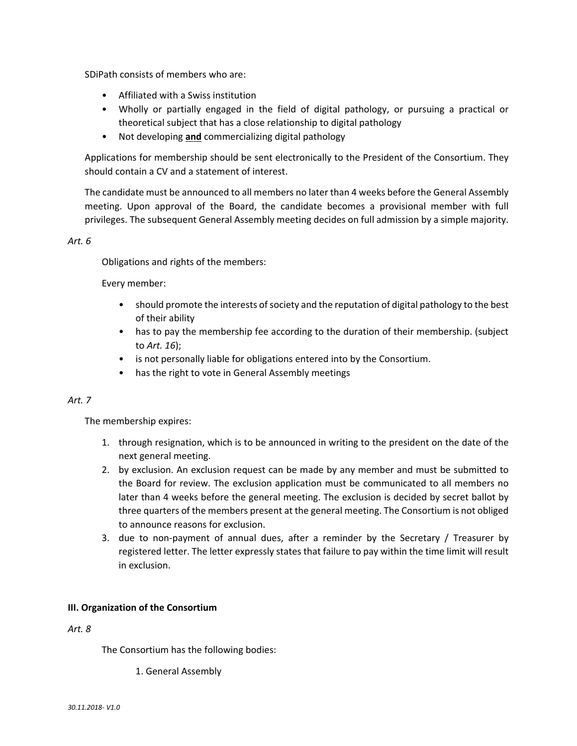SDiPath consists of members who are:

- Affiliated with a Swiss institution
- Wholly or partially engaged in the field of digital pathology, or pursuing a practical or theoretical subject that has a close relationship to digital pathology
- Not developing **and** commercializing digital pathology

Applications for membership should be sent electronically to the President of the Consortium. They should contain a CV and a statement of interest.

The candidate must be announced to all members no later than 4 weeks before the General Assembly meeting. Upon approval of the Board, the candidate becomes a provisional member with full privileges. The subsequent General Assembly meeting decides on full admission by a simple majority.

## *Art. 6*

Obligations and rights of the members:

Every member:

- should promote the interests of society and the reputation of digital pathology to the best of their ability
- has to pay the membership fee according to the duration of their membership. (subject to *Art. 16*);
- is not personally liable for obligations entered into by the Consortium.
- has the right to vote in General Assembly meetings

## *Art. 7*

The membership expires:

- 1. through resignation, which is to be announced in writing to the president on the date of the next general meeting.
- 2. by exclusion. An exclusion request can be made by any member and must be submitted to the Board for review. The exclusion application must be communicated to all members no later than 4 weeks before the general meeting. The exclusion is decided by secret ballot by three quarters of the members present at the general meeting. The Consortium is not obliged to announce reasons for exclusion.
- 3. due to non-payment of annual dues, after a reminder by the Secretary / Treasurer by registered letter. The letter expressly states that failure to pay within the time limit will result in exclusion.

## **III. Organization of the Consortium**

*Art. 8* 

The Consortium has the following bodies:

1. General Assembly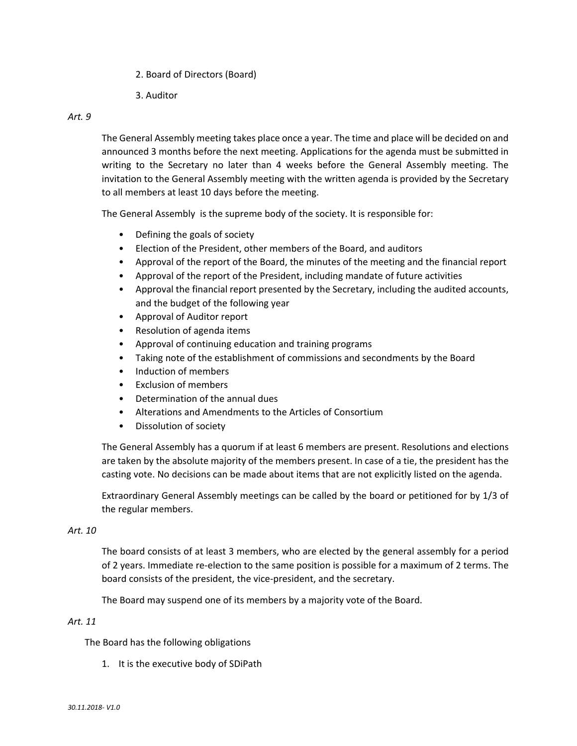- 2. Board of Directors (Board)
- 3. Auditor

## *Art. 9*

The General Assembly meeting takes place once a year. The time and place will be decided on and announced 3 months before the next meeting. Applications for the agenda must be submitted in writing to the Secretary no later than 4 weeks before the General Assembly meeting. The invitation to the General Assembly meeting with the written agenda is provided by the Secretary to all members at least 10 days before the meeting.

The General Assembly is the supreme body of the society. It is responsible for:

- Defining the goals of society
- Election of the President, other members of the Board, and auditors
- Approval of the report of the Board, the minutes of the meeting and the financial report
- Approval of the report of the President, including mandate of future activities
- Approval the financial report presented by the Secretary, including the audited accounts, and the budget of the following year
- Approval of Auditor report
- Resolution of agenda items
- Approval of continuing education and training programs
- Taking note of the establishment of commissions and secondments by the Board
- Induction of members
- Exclusion of members
- Determination of the annual dues
- Alterations and Amendments to the Articles of Consortium
- Dissolution of society

The General Assembly has a quorum if at least 6 members are present. Resolutions and elections are taken by the absolute majority of the members present. In case of a tie, the president has the casting vote. No decisions can be made about items that are not explicitly listed on the agenda.

Extraordinary General Assembly meetings can be called by the board or petitioned for by 1/3 of the regular members.

## *Art. 10*

The board consists of at least 3 members, who are elected by the general assembly for a period of 2 years. Immediate re‐election to the same position is possible for a maximum of 2 terms. The board consists of the president, the vice‐president, and the secretary.

The Board may suspend one of its members by a majority vote of the Board.

# *Art. 11*

The Board has the following obligations

1. It is the executive body of SDiPath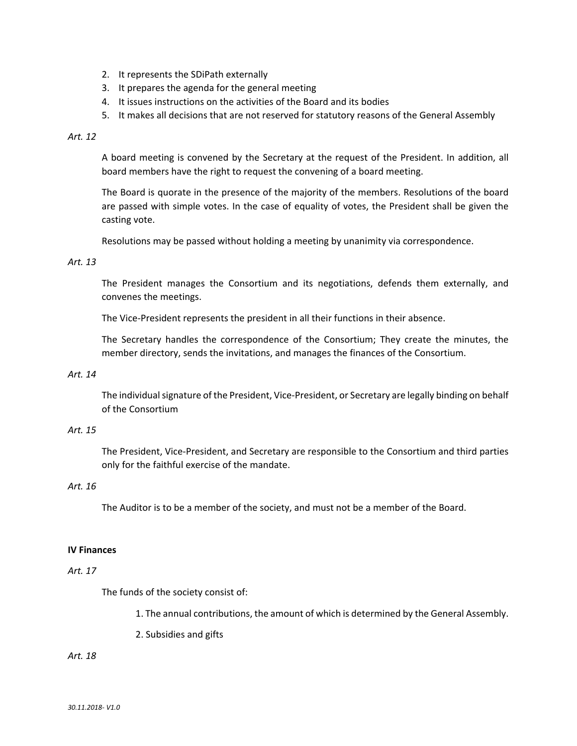- 2. It represents the SDiPath externally
- 3. It prepares the agenda for the general meeting
- 4. It issues instructions on the activities of the Board and its bodies
- 5. It makes all decisions that are not reserved for statutory reasons of the General Assembly

#### *Art. 12*

A board meeting is convened by the Secretary at the request of the President. In addition, all board members have the right to request the convening of a board meeting.

The Board is quorate in the presence of the majority of the members. Resolutions of the board are passed with simple votes. In the case of equality of votes, the President shall be given the casting vote.

Resolutions may be passed without holding a meeting by unanimity via correspondence.

#### *Art. 13*

The President manages the Consortium and its negotiations, defends them externally, and convenes the meetings.

The Vice‐President represents the president in all their functions in their absence.

The Secretary handles the correspondence of the Consortium; They create the minutes, the member directory, sends the invitations, and manages the finances of the Consortium.

#### *Art. 14*

The individual signature of the President, Vice‐President, or Secretary are legally binding on behalf of the Consortium

#### *Art. 15*

The President, Vice‐President, and Secretary are responsible to the Consortium and third parties only for the faithful exercise of the mandate.

#### *Art. 16*

The Auditor is to be a member of the society, and must not be a member of the Board.

#### **IV Finances**

#### *Art. 17*

The funds of the society consist of:

1. The annual contributions, the amount of which is determined by the General Assembly.

2. Subsidies and gifts

#### *Art. 18*